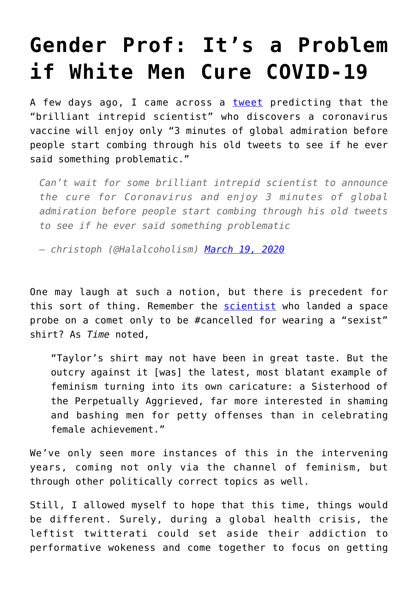## **[Gender Prof: It's a Problem](https://intellectualtakeout.org/2020/04/gender-prof-its-a-problem-if-white-men-cure-covid-19/) [if White Men Cure COVID-19](https://intellectualtakeout.org/2020/04/gender-prof-its-a-problem-if-white-men-cure-covid-19/)**

A few days ago, I came across a [tweet](https://twitter.com/halalcoholism/status/1240454425216335872) predicting that the "brilliant intrepid scientist" who discovers a coronavirus vaccine will enjoy only "3 minutes of global admiration before people start combing through his old tweets to see if he ever said something problematic."

*Can't wait for some brilliant intrepid scientist to announce the cure for Coronavirus and enjoy 3 minutes of global admiration before people start combing through his old tweets to see if he ever said something problematic*

*— christoph (@Halalcoholism) [March 19, 2020](https://twitter.com/Halalcoholism/status/1240454425216335872?ref_src=twsrc%5Etfw)*

One may laugh at such a notion, but there is precedent for this sort of thing. Remember the **scientist** who landed a space probe on a comet only to be #cancelled for wearing a "sexist" shirt? As *Time* noted,

"Taylor's shirt may not have been in great taste. But the outcry against it [was] the latest, most blatant example of feminism turning into its own caricature: a Sisterhood of the Perpetually Aggrieved, far more interested in shaming and bashing men for petty offenses than in celebrating female achievement."

We've only seen more instances of this in the intervening years, coming not only via the channel of feminism, but through other politically correct topics as well.

Still, I allowed myself to hope that this time, things would be different. Surely, during a global health crisis, the leftist twitterati could set aside their addiction to performative wokeness and come together to focus on getting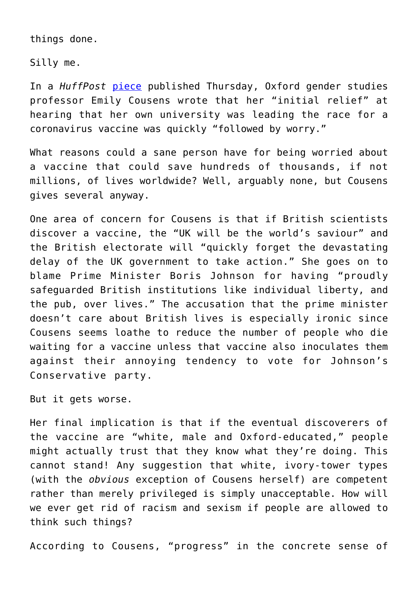things done.

Silly me.

In a *HuffPost* [piece](https://www.huffingtonpost.co.uk/entry/coronavirus-vaccine_uk_5ea067f2c5b6b2e5b83ba372?guccounter=2&fbclid=IwAR01idqCL31nARAi7cr1ABUoeWXAwMGyXIjGVwq5uhxqNQcDE3ZU9AG_TQo) published Thursday, Oxford gender studies professor Emily Cousens wrote that her "initial relief" at hearing that her own university was leading the race for a coronavirus vaccine was quickly "followed by worry."

What reasons could a sane person have for being worried about a vaccine that could save hundreds of thousands, if not millions, of lives worldwide? Well, arguably none, but Cousens gives several anyway.

One area of concern for Cousens is that if British scientists discover a vaccine, the "UK will be the world's saviour" and the British electorate will "quickly forget the devastating delay of the UK government to take action." She goes on to blame Prime Minister Boris Johnson for having "proudly safeguarded British institutions like individual liberty, and the pub, over lives." The accusation that the prime minister doesn't care about British lives is especially ironic since Cousens seems loathe to reduce the number of people who die waiting for a vaccine unless that vaccine also inoculates them against their annoying tendency to vote for Johnson's Conservative party.

But it gets worse.

Her final implication is that if the eventual discoverers of the vaccine are "white, male and Oxford-educated," people might actually trust that they know what they're doing. This cannot stand! Any suggestion that white, ivory-tower types (with the *obvious* exception of Cousens herself) are competent rather than merely privileged is simply unacceptable. How will we ever get rid of racism and sexism if people are allowed to think such things?

According to Cousens, "progress" in the concrete sense of